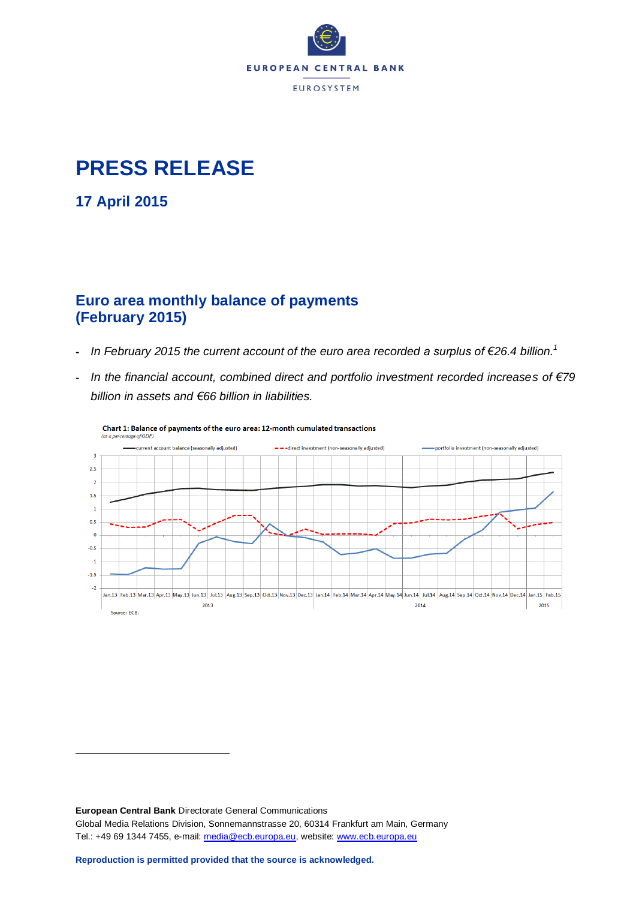

# **PRESS RELEASE**

**17 April 2015**

1

## **Euro area monthly balance of payments (February 2015)**

- *In February 2015 the current account of the euro area recorded a surplus of €26.4 billion. 1*
- *In the financial account, combined direct and portfolio investment recorded increases of €79 billion in assets and €66 billion in liabilities.*



**European Central Bank** Directorate General Communications Global Media Relations Division, Sonnemannstrasse 20, 60314 Frankfurt am Main, Germany Tel.: +49 69 1344 7455, e-mail: [media@ecb.europa.eu,](mailto:media@ecb.europa.eu) website: [www.ecb.europa.eu](http://www.ecb.europa.eu/)

**Reproduction is permitted provided that the source is acknowledged.**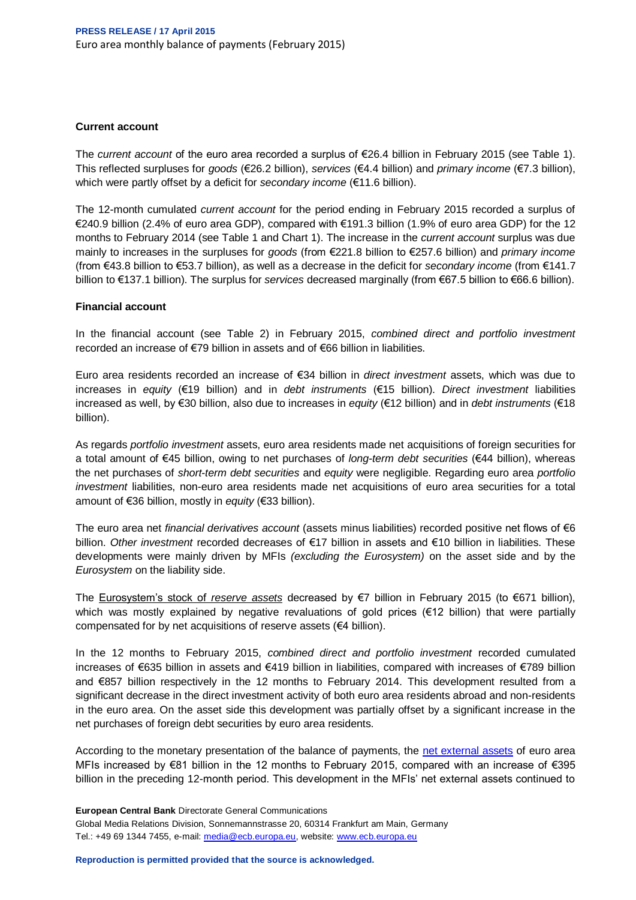#### **Current account**

The *current account* of the euro area recorded a surplus of €26.4 billion in February 2015 (see Table 1). This reflected surpluses for *goods* (€26.2 billion), *services* (€4.4 billion) and *primary income* (€7.3 billion), which were partly offset by a deficit for *secondary income* (€11.6 billion).

The 12-month cumulated *current account* for the period ending in February 2015 recorded a surplus of €240.9 billion (2.4% of euro area GDP), compared with €191.3 billion (1.9% of euro area GDP) for the 12 months to February 2014 (see Table 1 and Chart 1). The increase in the *current account* surplus was due mainly to increases in the surpluses for *goods* (from €221.8 billion to €257.6 billion) and *primary income* (from €43.8 billion to €53.7 billion), as well as a decrease in the deficit for *secondary income* (from €141.7 billion to €137.1 billion). The surplus for *services* decreased marginally (from €67.5 billion to €66.6 billion).

#### **Financial account**

In the financial account (see Table 2) in February 2015, *combined direct and portfolio investment* recorded an increase of €79 billion in assets and of €66 billion in liabilities.

Euro area residents recorded an increase of €34 billion in *direct investment* assets, which was due to increases in *equity* (€19 billion) and in *debt instruments* (€15 billion). *Direct investment* liabilities increased as well, by €30 billion, also due to increases in *equity* (€12 billion) and in *debt instruments* (€18 billion).

As regards *portfolio investment* assets, euro area residents made net acquisitions of foreign securities for a total amount of €45 billion, owing to net purchases of *long-term debt securities* (€44 billion), whereas the net purchases of *short-term debt securities* and *equity* were negligible. Regarding euro area *portfolio investment* liabilities, non-euro area residents made net acquisitions of euro area securities for a total amount of €36 billion, mostly in *equity* (€33 billion).

The euro area net *financial derivatives account* (assets minus liabilities) recorded positive net flows of €6 billion. *Other investment* recorded decreases of €17 billion in assets and €10 billion in liabilities. These developments were mainly driven by MFIs *(excluding the Eurosystem)* on the asset side and by the *Eurosystem* on the liability side.

The [Eurosystem's stock of](http://www.ecb.europa.eu/stats/external/reserves/html/index.en.html) *reserve assets* decreased by €7 billion in February 2015 (to €671 billion), which was mostly explained by negative revaluations of gold prices (€12 billion) that were partially compensated for by net acquisitions of reserve assets (€4 billion).

In the 12 months to February 2015, *combined direct and portfolio investment* recorded cumulated increases of €635 billion in assets and €419 billion in liabilities, compared with increases of €789 billion and €857 billion respectively in the 12 months to February 2014. This development resulted from a significant decrease in the direct investment activity of both euro area residents abroad and non-residents in the euro area. On the asset side this development was partially offset by a significant increase in the net purchases of foreign debt securities by euro area residents.

According to the monetary presentation of the balance of payments, the [net external assets](http://sdw.ecb.europa.eu/reports.do?node=100000217) of euro area MFIs increased by €81 billion in the 12 months to February 2015, compared with an increase of €395 billion in the preceding 12-month period. This development in the MFIs' net external assets continued to

**European Central Bank** Directorate General Communications Global Media Relations Division, Sonnemannstrasse 20, 60314 Frankfurt am Main, Germany Tel.: +49 69 1344 7455, e-mail: [media@ecb.europa.eu,](mailto:media@ecb.europa.eu) website: [www.ecb.europa.eu](http://www.ecb.europa.eu/)

**Reproduction is permitted provided that the source is acknowledged.**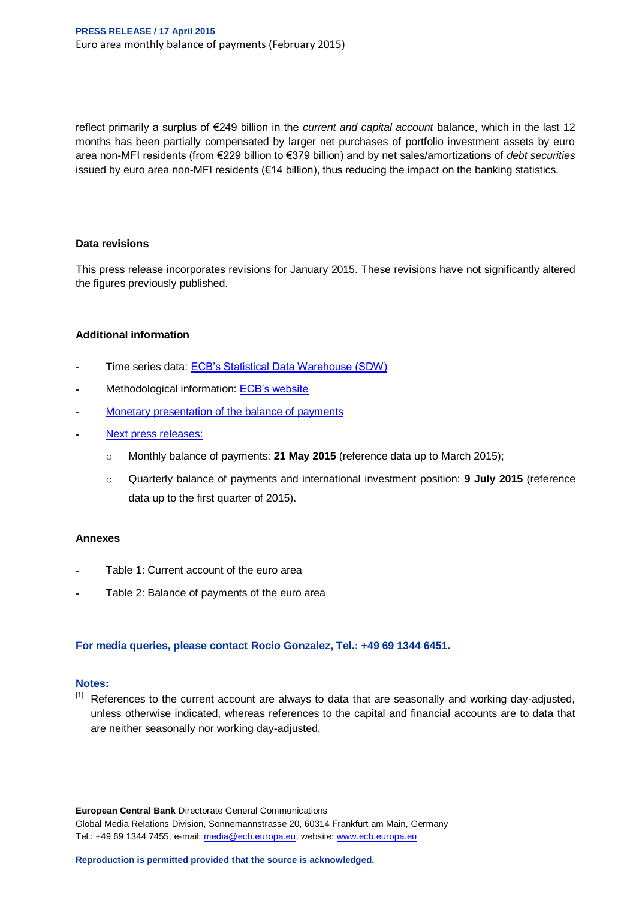reflect primarily a surplus of €249 billion in the *current and capital account* balance, which in the last 12 months has been partially compensated by larger net purchases of portfolio investment assets by euro area non-MFI residents (from €229 billion to €379 billion) and by net sales/amortizations of *debt securities* issued by euro area non-MFI residents (€14 billion), thus reducing the impact on the banking statistics.

#### **Data revisions**

This press release incorporates revisions for January 2015. These revisions have not significantly altered the figures previously published.

#### **Additional information**

- Time series data: [ECB's Statistical Data Warehouse \(SDW\)](http://sdw.ecb.europa.eu/browse.do?node=2018790)
- Methodological information: [ECB's website](http://www.ecb.europa.eu/stats/external/balance/html/index.en.html)
- [Monetary presentation of the balance of payments](http://sdw.ecb.europa.eu/reports.do?node=100000217)
- [Next press releases:](http://www.ecb.int/events/calendar/statscal/ext/html/stprbp.en.html)
	- o Monthly balance of payments: **21 May 2015** (reference data up to March 2015);
	- o Quarterly balance of payments and international investment position: **9 July 2015** (reference data up to the first quarter of 2015).

#### **Annexes**

- Table 1: Current account of the euro area
- Table 2: Balance of payments of the euro area

#### **For media queries, please contact Rocio Gonzalez, Tel.: +49 69 1344 6451.**

#### **Notes:**

[1] References to the current account are always to data that are seasonally and working day-adjusted, unless otherwise indicated, whereas references to the capital and financial accounts are to data that are neither seasonally nor working day-adjusted.

**European Central Bank** Directorate General Communications Global Media Relations Division, Sonnemannstrasse 20, 60314 Frankfurt am Main, Germany Tel.: +49 69 1344 7455, e-mail: [media@ecb.europa.eu,](mailto:media@ecb.europa.eu) website: [www.ecb.europa.eu](http://www.ecb.europa.eu/)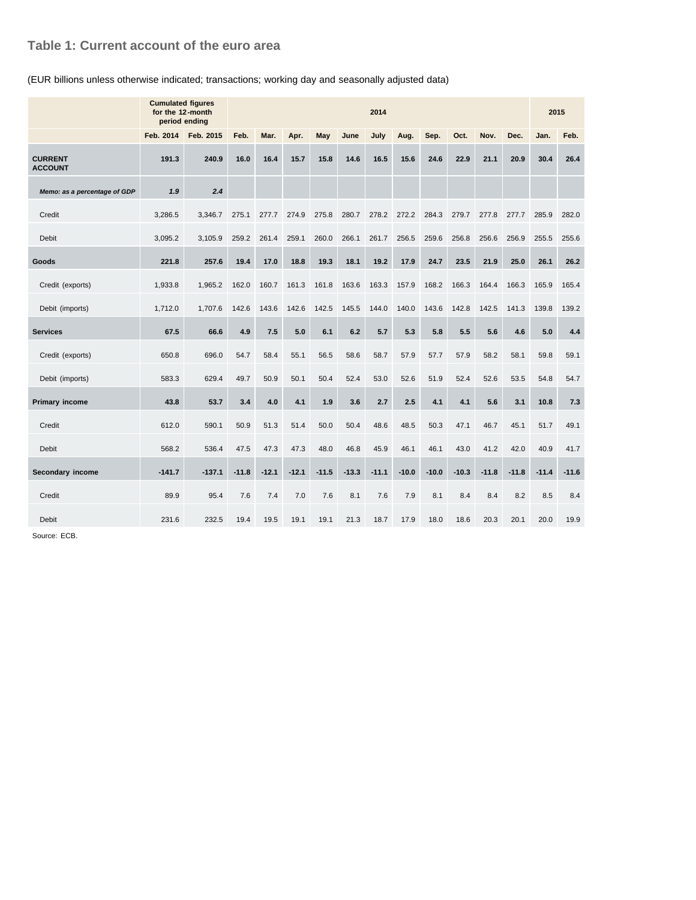### **Table 1: Current account of the euro area**

#### (EUR billions unless otherwise indicated; transactions; working day and seasonally adjusted data)

|                                  | <b>Cumulated figures</b><br>for the 12-month<br>period ending | 2014      |         |         |         |            |         |         |         |         |         | 2015    |         |         |         |
|----------------------------------|---------------------------------------------------------------|-----------|---------|---------|---------|------------|---------|---------|---------|---------|---------|---------|---------|---------|---------|
|                                  | Feb. 2014                                                     | Feb. 2015 | Feb.    | Mar.    | Apr.    | <b>May</b> | June    | July    | Aug.    | Sep.    | Oct.    | Nov.    | Dec.    | Jan.    | Feb.    |
| <b>CURRENT</b><br><b>ACCOUNT</b> | 191.3                                                         | 240.9     | 16.0    | 16.4    | 15.7    | 15.8       | 14.6    | 16.5    | 15.6    | 24.6    | 22.9    | 21.1    | 20.9    | 30.4    | 26.4    |
| Memo: as a percentage of GDP     | 1.9                                                           | 2.4       |         |         |         |            |         |         |         |         |         |         |         |         |         |
| Credit                           | 3,286.5                                                       | 3,346.7   | 275.1   | 277.7   | 274.9   | 275.8      | 280.7   | 278.2   | 272.2   | 284.3   | 279.7   | 277.8   | 277.7   | 285.9   | 282.0   |
| <b>Debit</b>                     | 3,095.2                                                       | 3,105.9   | 259.2   | 261.4   | 259.1   | 260.0      | 266.1   | 261.7   | 256.5   | 259.6   | 256.8   | 256.6   | 256.9   | 255.5   | 255.6   |
| Goods                            | 221.8                                                         | 257.6     | 19.4    | 17.0    | 18.8    | 19.3       | 18.1    | 19.2    | 17.9    | 24.7    | 23.5    | 21.9    | 25.0    | 26.1    | 26.2    |
| Credit (exports)                 | 1.933.8                                                       | 1.965.2   | 162.0   | 160.7   | 161.3   | 161.8      | 163.6   | 163.3   | 157.9   | 168.2   | 166.3   | 164.4   | 166.3   | 165.9   | 165.4   |
| Debit (imports)                  | 1,712.0                                                       | 1.707.6   | 142.6   | 143.6   | 142.6   | 142.5      | 145.5   | 144.0   | 140.0   | 143.6   | 142.8   | 142.5   | 141.3   | 139.8   | 139.2   |
| <b>Services</b>                  | 67.5                                                          | 66.6      | 4.9     | 7.5     | 5.0     | 6.1        | 6.2     | 5.7     | 5.3     | 5.8     | 5.5     | 5.6     | 4.6     | 5.0     | 4.4     |
| Credit (exports)                 | 650.8                                                         | 696.0     | 54.7    | 58.4    | 55.1    | 56.5       | 58.6    | 58.7    | 57.9    | 57.7    | 57.9    | 58.2    | 58.1    | 59.8    | 59.1    |
| Debit (imports)                  | 583.3                                                         | 629.4     | 49.7    | 50.9    | 50.1    | 50.4       | 52.4    | 53.0    | 52.6    | 51.9    | 52.4    | 52.6    | 53.5    | 54.8    | 54.7    |
| <b>Primary income</b>            | 43.8                                                          | 53.7      | 3.4     | 4.0     | 4.1     | 1.9        | 3.6     | 2.7     | 2.5     | 4.1     | 4.1     | 5.6     | 3.1     | 10.8    | 7.3     |
| Credit                           | 612.0                                                         | 590.1     | 50.9    | 51.3    | 51.4    | 50.0       | 50.4    | 48.6    | 48.5    | 50.3    | 47.1    | 46.7    | 45.1    | 51.7    | 49.1    |
| Debit                            | 568.2                                                         | 536.4     | 47.5    | 47.3    | 47.3    | 48.0       | 46.8    | 45.9    | 46.1    | 46.1    | 43.0    | 41.2    | 42.0    | 40.9    | 41.7    |
| Secondary income                 | $-141.7$                                                      | $-137.1$  | $-11.8$ | $-12.1$ | $-12.1$ | $-11.5$    | $-13.3$ | $-11.1$ | $-10.0$ | $-10.0$ | $-10.3$ | $-11.8$ | $-11.8$ | $-11.4$ | $-11.6$ |
| Credit                           | 89.9                                                          | 95.4      | 7.6     | 7.4     | 7.0     | 7.6        | 8.1     | 7.6     | 7.9     | 8.1     | 8.4     | 8.4     | 8.2     | 8.5     | 8.4     |
| <b>Debit</b>                     | 231.6                                                         | 232.5     | 19.4    | 19.5    | 19.1    | 19.1       | 21.3    | 18.7    | 17.9    | 18.0    | 18.6    | 20.3    | 20.1    | 20.0    | 19.9    |

Source: ECB.